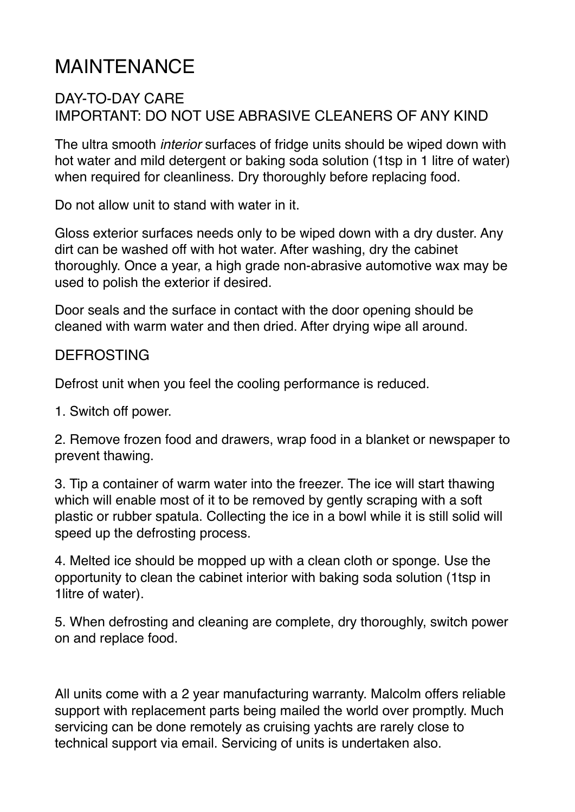## MAINTENANCE

## DAY-TO-DAY CARE IMPORTANT: DO NOT USE ABRASIVE CLEANERS OF ANY KIND

The ultra smooth *interior* surfaces of fridge units should be wiped down with hot water and mild detergent or baking soda solution (1tsp in 1 litre of water) when required for cleanliness. Dry thoroughly before replacing food.

Do not allow unit to stand with water in it.

Gloss exterior surfaces needs only to be wiped down with a dry duster. Any dirt can be washed off with hot water. After washing, dry the cabinet thoroughly. Once a year, a high grade non-abrasive automotive wax may be used to polish the exterior if desired.

Door seals and the surface in contact with the door opening should be cleaned with warm water and then dried. After drying wipe all around.

## DEFROSTING

Defrost unit when you feel the cooling performance is reduced.

1. Switch off power.

2. Remove frozen food and drawers, wrap food in a blanket or newspaper to prevent thawing.

3. Tip a container of warm water into the freezer. The ice will start thawing which will enable most of it to be removed by gently scraping with a soft plastic or rubber spatula. Collecting the ice in a bowl while it is still solid will speed up the defrosting process.

4. Melted ice should be mopped up with a clean cloth or sponge. Use the opportunity to clean the cabinet interior with baking soda solution (1tsp in 1litre of water).

5. When defrosting and cleaning are complete, dry thoroughly, switch power on and replace food.

All units come with a 2 year manufacturing warranty. Malcolm offers reliable support with replacement parts being mailed the world over promptly. Much servicing can be done remotely as cruising yachts are rarely close to technical support via email. Servicing of units is undertaken also.